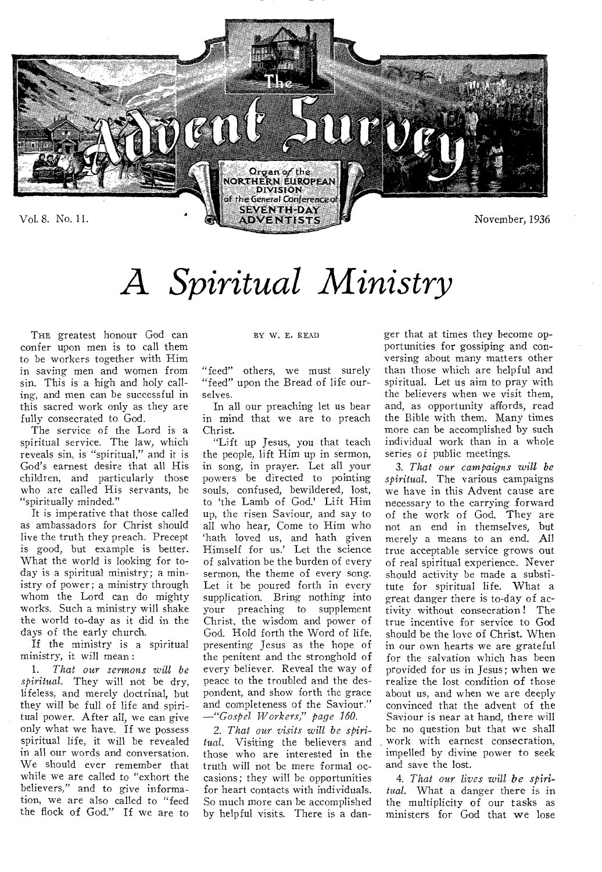

# *A Spiritual Ministry*

THE greatest honour God can confer upon men is to call them to be workers together with Him in saving men and women from sin. This is a high and holy calling, and men can be successful in this sacred work only as they are fully consecrated to God.

The service of the Lord is a spiritual service. The law, which reveals sin, is "spiritual," and it is God's earnest desire that all His children, and particularly those who are called His servants, be "spiritually minded."

It is imperative that those called as ambassadors for Christ should live the truth they preach. Precept is good, but example is better. What the world is looking for today is a spiritual ministry; a ministry of power; a ministry through whom the Lord can do mighty works. Such a ministry will shake the world to-day as it did in the days of the early church.

If the ministry is a spiritual ministry, it will mean :

1. *That our sermons will be spiritual.* They will not be dry, lifeless, and merely doctrinal, but they will be full of life and spiritual power. After all, we can give only what we have. If we possess spiritual life, it will be revealed in all our words and conversation. We should ever remember that while we are called to "exhort the believers," and to give information, we are also called to "feed the flock of God." If we are to

#### BY W. E. READ

"feed" others, we must surely "feed" upon the Bread of life ourselves.

In all our preaching let us bear in mind that we are to preach Christ.

"Lift up Jesus, you that teach the people, lift Him up in sermon, in song, in prayer. Let all your powers be directed to pointing souls, confused, bewildered, lost, to 'the Lamb of God.' Lift Him up, the risen Saviour, and say to all who hear, Come to Him who `hath loved us, and hath given Himself for us.' Let the science of salvation be the burden of every sermon, the theme of every song. Let it be poured forth in every supplication. Bring nothing into your preaching to supplement Christ, the wisdom and power of God. Hold forth the Word of life, presenting Jesus as the hope of the penitent and the stronghold of every believer. Reveal the way of peace to the troubled and the despondent, and show forth the grace and completeness of the Saviour." *—"Gospel Workers," page 160.* 

*2. That our visits will be spiritual.* Visiting the believers and those who are interested in the truth will not be mere formal occasions; they will be opportunities for heart contacts with individuals. So much more can be accomplished by helpful visits. There is a danger that at times they become opportunities for gossiping and conversing about many matters other than those which are helpful and spiritual. Let us aim to pray with the believers when we visit them, and, as opportunity affords, read the Bible with them. Many times more can be accomplished by such individual work than in a whole series of public meetings.

*3. That our campaigns will be spiritual.* The various campaigns we have in this Advent cause are necessary to the carrying forward of the work of God. They are not an end in themselves, but merely a means to an end. All true acceptable service grows out of real spiritual experience. Never should activity be made a substitute for spiritual life. What a great danger there is to-day of activity without consecration ! The true incentive for service to God should be the love of Christ. When in our own hearts we are grateful for the salvation which has been provided for us in Jesus; when we realize the lost condition of those about us, and when we are deeply convinced that the advent of the Saviour is near at hand, there will be no question but that we shall work with earnest consecration, impelled by divine power to seek and save the lost.

*4. That our lives will be spiritual.* What a danger there is in the multiplicity of our tasks as ministers for God that we lose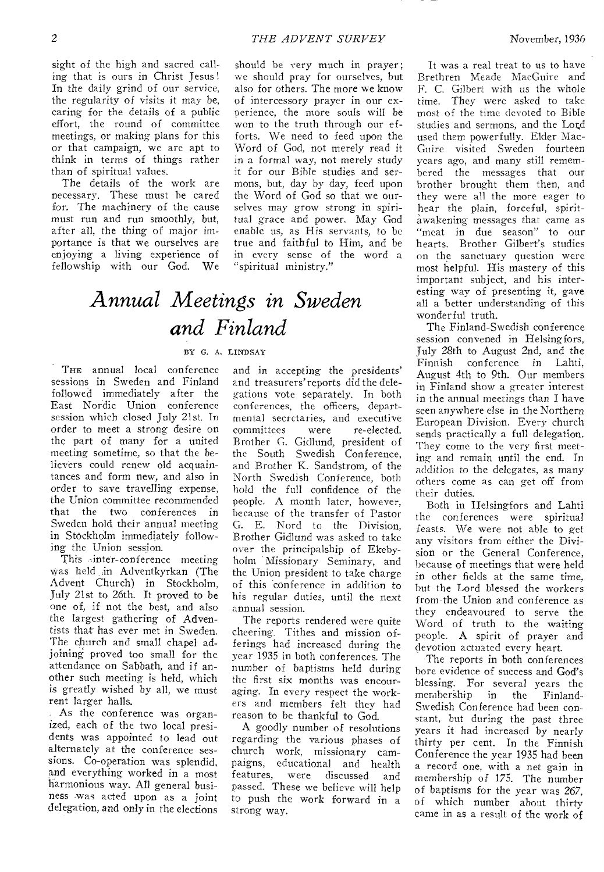sight of the high and sacred calling that is ours in Christ Jesus ! In the daily grind of our service, the regularity of visits it may be, caring for the details of a public effort, the round of committee meetings, or making plans for this or that campaign, we are apt to think in terms of things rather than of spiritual values.

The details of the work are necessary. These must he cared for. The machinery of the cause must run and run smoothly, but, after all, the thing of major importance is that we ourselves are enjoying a living experience of fellowship with our God. We should be very much in prayer; we should pray for ourselves, but also for others. The more we know of intercessory prayer in our experience, the more souls will be won to the truth through our efforts. We need to feed upon the Word of God, not merely read it in a formal way, not merely study it for our Bible studies and sermons, but, day by day, feed upon the Word of God so that we ourselves may grow strong in spiritual *grace* and power. May God enable us, as His servants, to be true and faithful to Him, and be in every sense of the word a "spiritual ministry."

## *Annual Meetings in Sweden and Finland*

#### BY G. A. LINDSAY

THE annual local conference sessions in Sweden and Finland followed immediately after the East Nordic Union conference session which closed July 21st. In order to meet a strong desire on the part of many for a united meeting sometime, so that the believers could renew old acquaintances and form new, and also in order to save travelling expense, the Union committee recommended that the two conferences in Sweden hold their annual meeting in Stockholm immediately following the Union session.

This-inter-conference meeting was held in Adventkyrkan (The Advent Church) in Stockholm, July 21st to 26th. It proved to be one of, if not the best, and also the largest gathering of Adventists that has ever met in Sweden. The church and small chapel adjoining proved too small for the attendance on Sabbath, and if another such meeting is held, which is greatly wished by all, we must rent larger halls.

As the conference was organized, each of the two local presidents was appointed to lead out alternately at the conference sessions. Co-operation was splendid, and everything worked in a most harmonious way. All general business :was acted upon as a joint delegation, and only in the elections

and in accepting the presidents' and treasurers'reports did the delegations vote separately. In both conferences, the officers, departmental secretaries, and executive<br>committees were re-elected. committees were Brother G. Gidlund, president of the South Swedish Conference, and Brother K. Sandstrom, of the North Swedish Conference, both hold the full confidence of the people. A month later, however, because of the transfer of Pastor G. E. Nord to the Division, Brother Gidlund was asked to take over the principalship of Ekebyholm Missionary Seminary, and the Union president to take charge of this conference in addition to his regular duties, until the next annual session.

The reports rendered were quite cheering. Tithes and mission offerings had increased during the year 1935 in both conferences. The number of baptisms held during the first six months was encouraging. In every respect the workers and members felt they had reason to be thankful to God.

A goodly number of resolutions regarding the various phases of church work, missionary campaigns, educational and health features, were discussed and passed. These we believe will help to push the work forward in a strong way.

It was a real treat to us to have Brethren Meade MacGuire and F. C. Gilbert with us the whole time. They were asked to take most of the time devoted to Bible studies and sermons, and the Lord used them powerfully. Elder Mac-Guire visited Sweden fourteen years ago, and many still remembered the messages that our brother brought them then, and they were all the more eager to hear the plain, forceful, spiritawakening messages that came as "meat in due season" to our hearts. Brother Gilbert's studies on the sanctuary question were most helpful. His mastery of this important subject, and his interesting way of presenting it, gave all a better understanding of this wonderful truth.

The Finland-Swedish conference session convened in Helsingfors, July 28th to August 2nd, and the conference in Lahti, August 4th to 9th. Our members in Finland show a greater interest in the annual meetings than I have seen anywhere else in the Northern European Division. Every church sends practically a full delegation. They come to the very first meeting and remain until the end. In addition to the delegates, as many others come as can get off from their duties.

Both in Ilelsingfors and Lahti the conferences were spiritual feasts. We were not able to get any visitors from either the Division or the General Conference, because of meetings that were held in other fields at the same time. but the Lord blessed the workers from the Union and conference as they endeavoured to serve the Word of truth to the waiting people. A spirit of prayer and devotion actuated every heart.

The reports in both conferences bore evidence of success and God's blessing. For several years the<br>membership in the Finlandmembership Swedish Conference had been constant, but during the past three years it had increased by nearly thirty per cent. In the Finnish Conference the year 1935 had been a record one, with a net gain in membership of 175. The number of baptisms for the year was 267, of which number about thirty came in as a result of the work of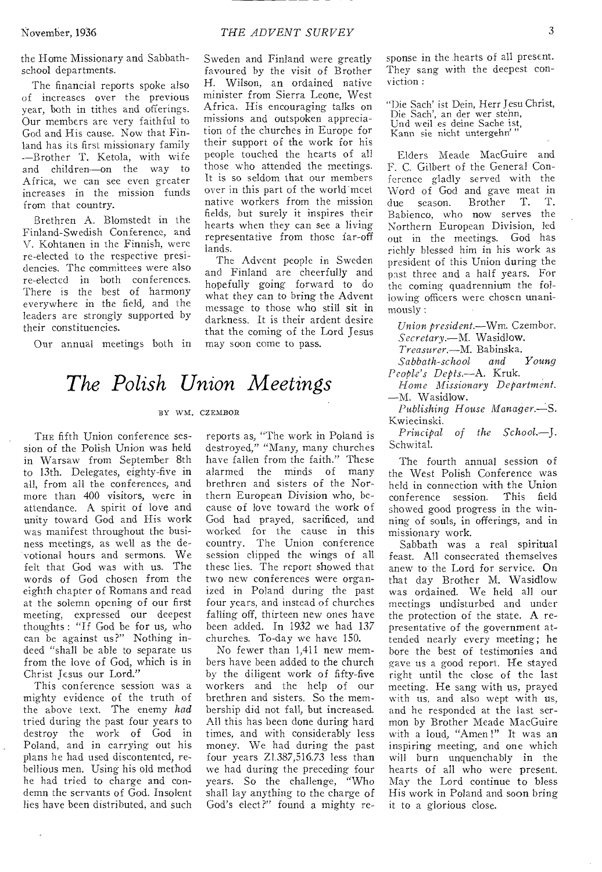The financial reports spoke also of increases over the previous year, both in tithes and offerings. Our members are very faithful to God and His cause. Now that Finland has its first missionary family --Brother T. Ketola, with wife and children—on the way to Africa, we can see even greater increases in the mission funds from that country.

Brethren A. Blomstedt in the Finland-Swedish Conference, and V. Kohtanen in the Finnish, were re-elected to the respective presidencies. The committees were also re-elected in both conferences. There is the best of harmony everywhere in the field, and the leaders are strongly supported by their constituencies.

Our annual meetings both in

# Sweden and Finland were greatly

favoured by the visit of Brother H. Wilson, an ordained native minister from Sierra Leone, West Africa. His encouraging talks on missions and outspoken appreciation of the churches in Europe for their support of the work for his people touched the hearts of all those who attended the meetings. It is so seldom that our members over in this part of the world meet native workers from the mission fields, but surely it inspires their hearts when they can see a living representative from those far-off lands.

The Advent people in Sweden and Finland are cheerfully and hopefully going forward to do what they can to bring the Advent message to those who still sit in darkness. It is their ardent desire that the coming of the Lord Jesus may soon come to pass.

### *The Polish Union Meetings*

#### BY WM. CZEMBOR

THE fifth Union conference session of the Polish Union was held in Warsaw from September 8th to 13th. Delegates, eighty-five in all, from all the conferences, and more than 400 visitors, were in attendance. A spirit of love and unity toward God and His work was manifest throughout the business meetings, as well as the devotional hours and sermons. We felt that God was with us. The words of God chosen from the eighth chapter of Romans and read at the solemn opening of our first meeting, expressed our deepest thoughts : "If God be for us, who can be against us?" Nothing indeed "shall be able to separate us from the love of God, which is in Christ Jesus our Lord."

This conference session was a mighty evidence of the truth of the above text. The enemy *had*  tried during the past four years to destroy the work of God in Poland, and in carrying out his plans he had used discontented, rebellious men. Using his old method he had tried to charge and condemn the servants of God. Insolent lies have been distributed, and such

reports as, "The work in Poland is destroyed," "Many, many churches have fallen from the faith." These alarmed the minds of many brethren and sisters of the Northern European Division who, because of love toward the work of God had prayed, sacrificed, and worked for the cause in this country. The Union conference session clipped the wings of all these lies. The report showed that two new conferences were organized in Poland during the past four years, and instead of churches falling off, thirteen new ones have been added. In 1932 we had 137 churches. To-day we have 150.

No fewer than 1,411 new members have been added to the church by the diligent work of fifty-five workers and the help of our brethren and sisters. So the membership did not fall, but increased. All this has been done during hard times, and with considerably less money. We had during the past four years Z1.387,516.73 less than we had during the preceding four years. So the challenge, "Who shall lay anything to the charge of God's elect?" found a mighty response in the hearts of all present. They sang with the deepest conviction :

"Die Sach' ist Dein, Herr Jesu Christ, Die Sach', an der wer stehn, Und weil es deine Sache ist, Kann sie nicht untergehn'

Elders Meade MacGuire and F. C. Gilbert of the General Conference gladly served with the Word of God and gave meat in<br>due season. Brother T. T. due season. Brother Babienco, who now serves the Northern European Division, led out in the meetings. God has richly blessed him in his work as president of this Union during the past three and a half years. For the coming quadrennium the following officers were chosen unanimously :

*Union president.—Wm.* Czembor. *Secretary.—M.* Wasidlow.

*Treasurer.—M.* Babinska.  $Sabbath-school$ *People's Depts.—A.* Kruk.

*Home Missionary Department.*  —M. Wasidlow.

*Publishing House Manager.—S.*  Kwiecinski.

*Principal of the School.—J.*  Schwital.

The fourth annual session of the West Polish Conference was held in connection with the Union conference session. This field showed good progress in the winning of souls, in offerings, and in missionary work.

Sabbath was a real spiritual feast. All consecrated themselves anew to the Lord for service. On that day Brother M. Wasidlow was ordained. We held all our meetings undisturbed and under the protection of the state. A representative of the government attended nearly every meeting; he bore the best of testimonies and gave us a good report. He stayed right until the close of the last meeting. He sang with us, prayed with us, and also wept with us, and he responded at the last sermon by Brother Meade MacGuire with a loud, "Amen !" It was an inspiring meeting, and one which will burn unquenchably in the hearts of all who were present. May the Lord continue to bless His work in Poland and soon bring it to a glorious close.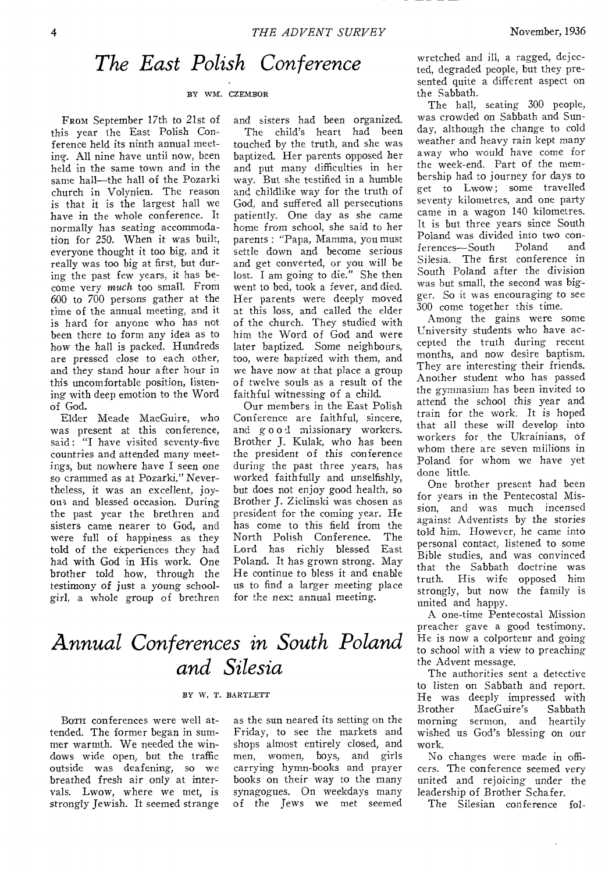### *The East Polish Conference*

#### BY WM. CZEMBOR

FROM September 17th to 21st of this year the East Polish Conference held its ninth annual meeting. All nine have until now, been held in the same town and in the same hall—the hall of the Pozarki church in Volynien. The reason is that it is the largest hall we have in the whole conference. It normally has seating accommodation for 250. When it was built, everyone thought it too big, and it really was too big at first, but during the past few years, it has become very *much* too small. From 600 to 700 persons gather at the time of the annual meeting, and it is hard for anyone who has not been there to form any idea as to how the hall is packed. Hundreds are pressed close to each other, and they stand hour after hour in this uncomfortable position, listening with deep emotion to the Word of God.

Elder Meade MacGuire, who was present at this conference, said: "I have visited seventy-five countries and attended many meetings, but nowhere have I seen one so crammed as at Pozarki." Nevertheless, it was an excellent, joyous and blessed occasion. During the past year the brethren and sisters came nearer to God, and were full of happiness as they told of the ekperiences they had had with God in His work. One brother told how, through the testimony of just a young schoolgirl, a whole group of brethren

and sisters had been organized. The child's heart had been touched by the truth, and she was baptized. Her parents opposed her and put many difficulties in her way. But she testified in a humble and childlike way for the truth of God, and suffered all persecutions patiently. One day as she came home from school, she said to her parents : "Papa, Mamma, you must settle down and become serious and get converted, or you will be lost. I am going to die." She then went to bed, took a fever, and died. Her parents were deeply moved at this loss, and called the elder of the church. They studied with him the Word of God and were later baptized. Some neighbours, too, were baptized with them, and we have now at that place a group of twelve souls as a result of the faithful witnessing of a child.

Our members in the East Polish Conference are faithful, sincere, and good mi3sionary workers. Brother J, Kulak, who has been the president of this conference during the past three years, has worked faithfully and unselfishly, but does not enjoy good health, so Brother J. Zielinski was chosen as president for the coming year. He has come to this field from the North Polish Conference. The Lord has richly blessed East Poland. It has grown strong. May He continue to bless it and enable us to find a larger meeting place for the next annual meeting.

### *Annual Conferences in South Poland and Silesia*

#### BY W. T. BARTLETT

BOTH conferences were well attended. The former began in summer warmth. We needed the windows wide open, but the traffic outside was deafening, so we breathed fresh air only at intervals. Lwow, where we met, is strongly Jewish. It seemed strange

as the sun neared its setting on the Friday, to see the markets and shops almost entirely closed, and men, women, boys, and girls carrying hymn-books and prayer books on their way to the many synagogues. On weekdays many of the Jews we met seemed

wretched and ill, a ragged, dejected, degraded people, but they presented quite a different aspect on the Sabbath.

The hall, seating 300 people, was crowded on Sabbath and Sunday, although the change to cold weather and heavy rain kept many away who would have come for the week-end. Part of the membership had to journey for days to get to Lwow; some travelled seventy kilometres, and one party came in a wagon 140 kilometres. It is but three years since South Poland was divided into two con-<br>ferences—South Poland and ferences-South Silesia. The first conference in South Poland after the division was but small, the second was bigger. So it was encouraging to see 300 come together this time.

Among the gains were some University students who have accepted the truth during recent months, and now desire baptism. They are interesting their friends. Another student who has passed the gymnasium has been invited to attend the school this year and train for the work. It is hoped that all these will develop into workers for the Ukrainians, of whom there are seven millions in Poland for whom we have yet done little.

One brother present had been for years in the Pentecostal Mission, and was much incensed against Adventists by the stories told him. However, he came into personal contact, listened to some Bible studies, and was convinced that the Sabbath doctrine was truth. His wife opposed him strongly, but now the family is united and happy.

A one-time Pentecostal Mission preacher gave a good testimony. He is now a colporteur and going to school with a view to preaching the Advent message.

The authorities sent a detective to listen on Sabbath and report. He was deeply impressed with Brother MacGuire's Sabbath morning sermon, and heartily wished us God's blessing on our work.

No changes were made in officers. The conference seemed very united and rejoicing under the leadership of Brother Schafer.

The Silesian conference fol-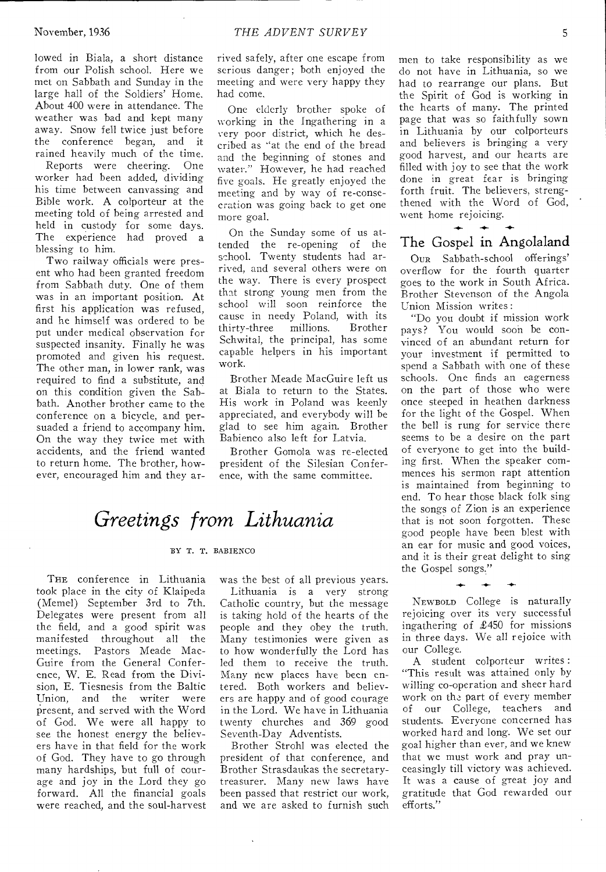lowed in Biala, a short distance from our Polish school. Here we met on Sabbath and Sunday in the large hall of the Soldiers' Home. About 400 were in attendance. The weather was bad and kept many away. Snow fell twice just before the conference began, and it rained heavily much of the time.

Reports were cheering. One worker had been added, dividing his time between canvassing and Bible work. A colporteur at the meeting told of being arrested and held in custody for some days. The experience had proved a blessing to him.

Two railway officials were present who had been granted freedom from Sabbath duty. One of them was in an important position. At first his application was refused, and he himself was ordered to be put under medical observation for suspected insanity. Finally he was promoted and given his request. The other man, in lower rank, was required to find a substitute, and on this condition given the Sabbath. Another brother came to the conference on a bicycle, and persuaded a friend to accompany him. On the way they twice met with accidents, and the friend wanted to return home. The brother, however, encouraged him and they arrived safely, after one escape from serious danger; both enjoyed the meeting and were very happy they had come.

One elderly brother spoke of working in the Ingathering in a very poor district, which he described as "at the end of the bread and the beginning of stones and water." However, he had reached five goals. He greatly enjoyed the meeting and by way of re-consecration was going hack to get one more goal.

On the Sunday some of us attended the re-opening of the school. Twenty students had arrived, and several others were on the way. There is every prospect that strong young men from the school will soon reinforce the cause in needy Poland, with its thirty-three Schwital, the principal, has some capable helpers in his important work.

Brother Meade MacGuire left us at Biala to return to the States. His work in Poland was keenly appreciated, and everybody will be glad to see him again. Brother Babienco also left for Latvia.

Brother Gomola was re-elected president of the Silesian Conference, with the same committee.

### *Greetings from Lithuania*

#### BY T. T. BABIENCO

THE conference in Lithuania took place in the city of Klaipeda (Memel) September 3rd to 7th. Delegates were present from all the field, and a good spirit was manifested throughout all the meetings. Pastors Meade Mac-Guire from the General Conference, W. E. Read from the Division, E. Tiesnesis from the Baltic<br>Union, and the writer were and the writer present, and served with the Word of God. We were all happy to see the honest energy the believers have in that field for the work of God. They have to go through many hardships, but full of courage and joy in the Lord they go forward. All the financial goals were reached, and the soul-harvest

was the best of all previous years. Lithuania is a very strong Catholic country, but the message is taking hold of the hearts of the people and they obey the truth. Many testimonies were given as to how wonderfully the Lord has led them to receive the truth. Many new places have been entered. Both workers and believers are happy and of good courage in the Lord. We have in Lithuania twenty churches and 369 good Seventh-Day Adventists.

Brother Strohl was elected the president of that conference, and Brother Strasdaukas the secretarytreasurer. Many new laws have been passed that restrict our work, and we are asked to furnish such men to take responsibility as we do not have in Lithuania, so we had to rearrange our plans. But the Spirit of God is working in the hearts of many. The printed page that was so faithfully sown in Lithuania by our colporteurs and believers is bringing a very good harvest, and our hearts are filled with joy to see that the work done in great fear is bringing forth fruit. The believers, strengthened with the Word of God, went home rejoicing.

### The Gospel in Angolaland

 $\leftarrow$ 

OUR Sabbath-school offerings' overflow for the fourth quarter goes to the work in South Africa. Brother Stevenson of the Angola Union Mission writes :

"Do you doubt if mission work pays? You would soon be convinced of an abundant return for your investment if permitted to spend a Sabbath with one of these schools. One finds an eagerness on the part of those who were once steeped in heathen darkness for the light of the Gospel. When the bell is rung for service there seems to be a desire on the part of everyone to get into the building first. When the speaker commences his sermon rapt attention is maintained from beginning to end. To hear those black folk sing the songs of Zion is an experience that is not soon forgotten. These good people have been blest with an ear for music and good voices, and it is their great delight to sing the Gospel songs."

NEWBOLD College is naturally rejoicing over its very successful ingathering of £450 for missions in three days. We all rejoice with our College.

**-4-** 

A student colporteur writes : "This result was attained only by willing co-operation and sheer hard work on the part of every member of our College, teachers and students. Everyone concerned has worked hard and long. We set our goal higher than ever, and we knew that we must work and pray unceasingly till victory was achieved. It was a cause of great joy and gratitude that God rewarded our efforts."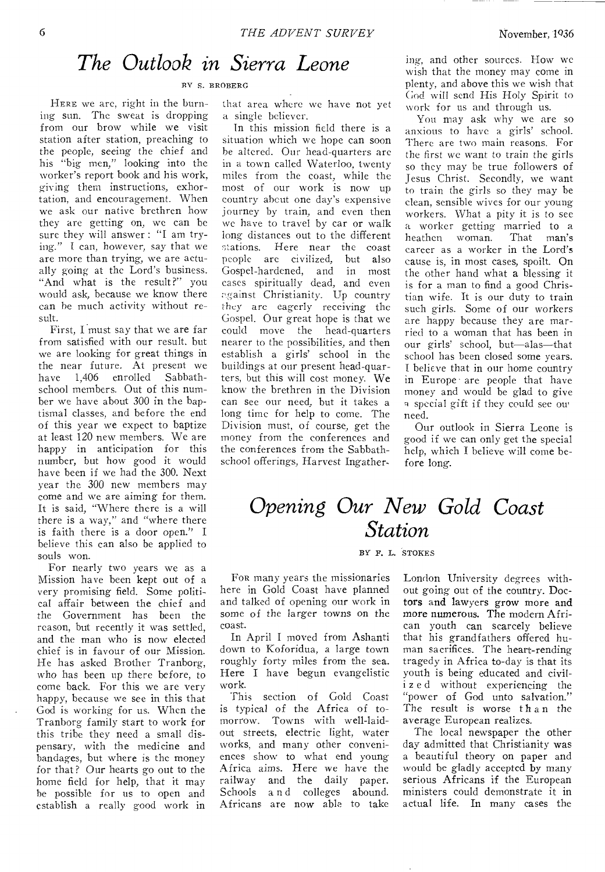### *The Outlook in Sierra Leone*

#### RY S. BROBERG

HERE we are, right in the burning sun. The sweat is dropping from our brow while we visit station after station, preaching to the people, *seeing* the chief and his "big men," looking into the worker's report book and his work, giving them instructions, exhortation, and encouragement. When we ask our native brethren how they are getting on, we can be sure they will answer : "I am trying." I can, however, say that we are more than trying, we are actually going at the Lord's business. "And what is the result?" you would ask, because we know there can he much activity without result.

First, I must say that we are far from satisfied with our result. but we are looking for great things in the near future. At present we<br>have 1.406 enrolled Sabbathhave  $1.406$ school members. Out of this number we have about 300 in the baptismal classes, and before the end of this year we expect to baptize at least 120 new members. We are happy in anticipation for this number, but how good it would have been if we had the 300. Next year the 300 new members may come and we are aiming for them. It is said, "Where there is a will there is a way," and "where there is faith there is a door open." I believe this can also be applied to souls won.

For nearly two years we as a Mission have been kept out of a very promising field. Some political affair between the chief and the Government has been the reason, but recently it was settled, and the man who is now elected chief is in favour of our Mission. He has asked Brother Tranborg, who has been up there before, to come back. For this we are very happy, because we see in this that God is working for us. When the Tranborg family start to work for this tribe they need a small dispensary, with the medicine and bandages, but where is the money for that? Our hearts go out to the home field for help, that it may he possible for us to open and establish a really good work in

that area where we have not yet a single believer.

In this mission field there is a situation which we hope can soon he altered. Our head-quarters arc in a town called Waterloo, twenty miles from the coast, while the most of our work is now up country about one day's expensive journey by train, and even then we have to travel by car or walk long distances out to the different<br>stations. Here near the coast Here near the coast people are civilized, but also<br>Gospel-hardened, and in most Gospel-hardened, and cases spiritually dead, and even against Christianity. Up country they are eagerly receiving the Gospel. Our great hope is that we could move the head-quarters nearer to the possibilities, and then establish a girls' school in the buildings at our present head-quarters, but this will cost money. We know the brethren in the Division can see our need, but it takes a long time for help to come. The Division must, of course, get the money from the conferences and the conferences from the Sabbathschool offerings, Harvest Ingathering, and other sources. How we wish that the money may come in plenty, and above this we wish that God will send His Holy Spirit to work for us and through us.

You may ask why we are so anxious to have a girls' school. There are two main reasons. For the first we want to train the girls so they may be true followers of Jesus Christ. Secondly, we want to train the girls so they may be clean, sensible wives for our young workers. What a pity it is to see a worker getting married to a<br>heathen woman. That man's heathen woman. career as a worker in the Lord's cause is, in most cases, spoilt. On the other hand what a blessing it is for a man to find a good Christian wife. It is our duty to train such girls. Some of our workers are happy because they are married to a woman that has been in our girls' school, but—alas—that school has been closed some years. I believe that in our home country in Europe are people that have money and would be glad to give a special gift if they could see ou. need.

Our outlook in Sierra Leone is good if we can only get the special help, which I believe will come before long.

### *Opening Our New Gold Coast Station*

#### BY F. L. STOKES

FOR many years the missionaries here in Gold Coast have planned and talked of opening our work in some *of* the larger towns on the coast.

In April I moved from Ashanti down to Koforidua, a large town roughly forty miles from the sea. Here I have begun evangelistic work.

This section of Gold Coast is typical of the Africa of tomorrow. Towns with well-laidout streets, electric light, water works, and many other conveniences show to what end young Africa aims. Here we have the railway and the daily paper. Schools a n d colleges abound. Africans are now able to take

London University degrees without going out of the country. Doctors and lawyers grow more and more numerous. The modern African youth can scarcely believe that his grandfathers offered human sacrifices. The heart-rending tragedy in Africa to-day is that its youth is being educated and civili z e d without experiencing the "power of God unto salvation." The result is worse than the average European realizes.

The local newspaper the other day admitted that Christianity was a beautiful theory on paper and would be gladly accepted by many serious Africans if the European ministers could demonstrate it in actual life. In many cases the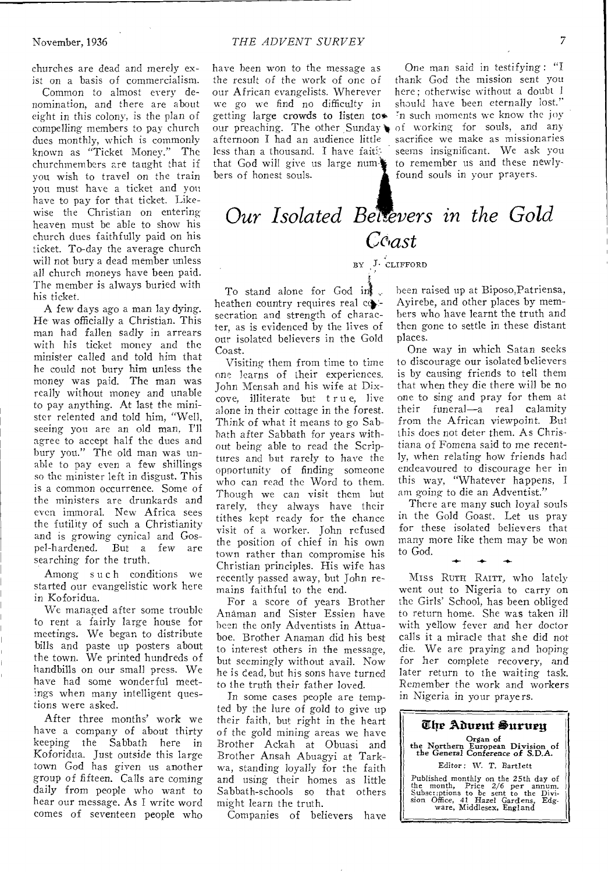churches are dead and merely exist on a basis of commercialism.

Common to almost every denomination, and there are about eight in this colony, is the plan of compelling members to pay church dues monthly, which is commonly known as "Ticket Money." The churchmembers are taught that if you wish to travel on the train you must have a ticket and you have to pay for that ticket. Likewise the Christian on entering heaven must be able to show his church clues faithfully paid on his ticket. To-day the average church will not bury a dead member unless all church moneys have been paid. The member is always buried with his ticket.

A few days ago a man lay dying. He was officially a Christian. This man had fallen sadly in arrears with his ticket money and the minister called and told him that he could not bury him unless the money was paid. The man was really without money and unable to pay anything. At last the minister relented and told him, "Well, seeing you are an old man, I'll agree to accept half the dues and bury you." The old man was unable to pay even a few shillings so the minister left in disgust. This is a common occurrence. Some of the ministers are drunkards and even immoral. New Africa sees the futility of such a Christianity and is growing cynical and Gos-<br>pel-hardened. But a few are But a few are searching for the truth.

Among such conditions we started our evangelistic work here in Koforidua.

We managed after some trouble to rent a fairly large house for meetings. We began to distribute bills and paste up posters about the town. We printed hundreds of handbills on our small press. We have had some wonderful meetings when many intelligent questions were asked.

After three months' work we have a company of about thirty keeping the Sabbath here in Koforidua. Just outside this large town God has given us another group of fifteen. Calls are coming daily from people who want to hear our message. As I write word comes of seventeen people who

our preaching. The other Sunday of working for souls, and any have been won to the message as the result of the work of one of our African evangelists. Wherever we go we find no difficulty in getting large crowds to listen to afternoon I had an audience little less than a thousand. I have faiththat God will give us large numbers of honest souls.

One man said in testifying : "I thank God the mission sent you here: otherwise without a doubt should have been eternally lost." In such moments we know the joy sacrifice we make as missionaries seems insignificant. We ask you to remember us and these newlyfound souls in your prayers.

## *Our Isolated BeLevers in the Gold Coast*

#### BY J• CLIFFORD

To stand alone for God in heathen country requires real  $c$ . secration and strength of character, as is evidenced by the lives of our isolated believers in the Gold Coast.

Visiting them from time to time one learns of their experiences. John Mensah and his wife at Dixcove, illiterate but true, live alone in their cottage in the forest. Think of what it means to go Sabbath after Sabbath for years without *being* able to read the Scriptures and but rarely to have the opportunity of finding someone who can read the Word to them. Though we can visit them but rarely, they always have their tithes kept ready for the chance visit of a worker. John refused the position of chief in his own town rather than compromise his Christian principles. His wife has recently passed away, but John remains faithful to the end.

For a score of years Brother Anaman and Sister Essien have been the only Adventists in Attuaboe. Brother Anaman did his best to interest others in the message, but seemingly without avail. Now he is dead, but his sons have turned to the truth their father loved.

In some cases people are tempted by the lure of gold to give up their faith, but right in the heart of the gold mining areas we have Brother Ackah at Obuasi and Brother Ansah Abuagyi at Tarkwa, standing loyally for the faith and using their homes as little Sabbath-schools so that others might learn the truth.

Companies of believers have

been raised up at Biposo,Patriensa, Ayirebe, and other places by members who have learnt the truth and then gone to settle in these distant places.

One way in which Satan seeks to discourage our isolated believers is by causing friends to tell them that when they die there will be no one to sing and pray for them at their funeral—a real calamity from the African viewpoint. But this does not deter them. As Christiana of Fomena said to me recently, when relating how friends had endeavoured to discourage her in this way, "Whatever happens, I am going to die an Adventist."

There are many such loyal souls in the Gold Goast. Let us pray for these isolated believers that many more like them may be won to God.

MISS RUTH RAITT, who lately went out to Nigeria to carry on the Girls' School, has been obliged to return home. She was taken ill with yellow fever and her doctor calls it a miracle that she did not die. We are praying and hoping for her complete recovery, and later return to the waiting task. Remember the work and workers in Nigeria in your prayers.